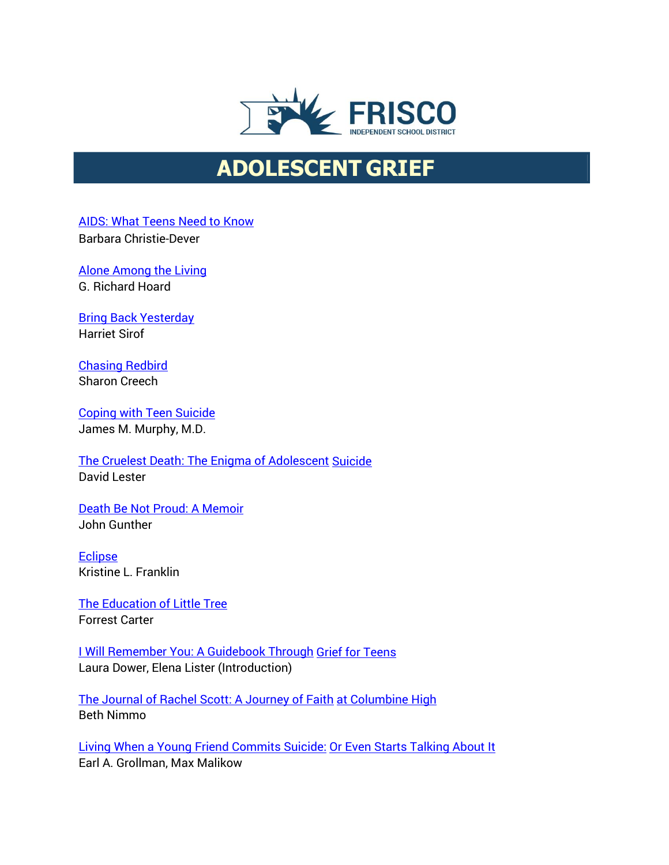

## **ADOLESCENT GRIEF**

[AIDS: What Teens Need](http://www.amazon.com/exec/obidos/ASIN/0881602337/griefnet/002-9144922-3611235) to Know

Barbara Christie-Dever

[Alone Among](http://www.amazon.com/exec/obidos/ASIN/0820316105/griefnet/002-9144922-3611235) the Living G. Richard Hoard

[Bring Back Yesterday](http://www.amazon.com/exec/obidos/ASIN/0689806388/griefnet/002-9144922-3611235) Harriet Sirof

[Chasing Redbird](http://www.amazon.com/exec/obidos/tg/detail/-/0060269871/ref%3Dase_griefnet/002-9144922-3611235?v=glance&s=books) Sharon Creech

[Coping with Teen Suicide](http://www.amazon.com/exec/obidos/ASIN/0823928241/griefnet/002-9144922-3611235) James M. Murphy, M.D.

The Cruelest Death: The [Enigma of Adolescent](http://www.amazon.com/exec/obidos/tg/detail/-/0914783645/ref%3Dase_griefnet/002-9144922-3611235?v=glance&s=books) [Suicide](http://www.amazon.com/exec/obidos/tg/detail/-/0914783645/ref%3Dase_griefnet/002-9144922-3611235?v=glance&s=books) David Lester

Death Be Not [Proud: A Memoir](http://www.amazon.com/exec/obidos/tg/detail/-/1568496931/ref%3Dase_griefnet/002-9144922-3611235?v=glance&s=books) John Gunther

[Eclipse](http://www.amazon.com/exec/obidos/ASIN/0763602418/griefnet/002-9144922-3611235) Kristine L. Franklin

[The Education of Little](http://www.amazon.com/exec/obidos/tg/detail/-/0826328083/ref%3Dlpr_g_1/002-9144922-3611235?v=glance&s=books) Tree Forrest Carter

[I Will Remember You: A Guidebook](http://www.amazon.com/exec/obidos/tg/detail/-/0439139619/ref%3Dase_griefnet/002-9144922-3611235?v=glance&s=books) Through [Grief for Teens](http://www.amazon.com/exec/obidos/tg/detail/-/0439139619/ref%3Dase_griefnet/002-9144922-3611235?v=glance&s=books) Laura Dower, Elena Lister (Introduction)

The [Journal of Rachel Scott: A Journey](http://www.amazon.com/exec/obidos/tg/detail/-/0849975948/ref%3Dase_griefnet/002-9144922-3611235?v=glance&s=books) of Faith [at Columbine](http://www.amazon.com/exec/obidos/tg/detail/-/0849975948/ref%3Dase_griefnet/002-9144922-3611235?v=glance&s=books) High Beth Nimmo

Living When a Young Friend [Commits Suicide:](http://www.amazon.com/exec/obidos/tg/detail/-/0807025038/ref%3Dase_griefnet/002-9144922-3611235?v=glance&s=books) [Or Even Starts Talking About It](http://www.amazon.com/exec/obidos/tg/detail/-/0807025038/ref%3Dase_griefnet/002-9144922-3611235?v=glance&s=books) Earl A. Grollman, Max Malikow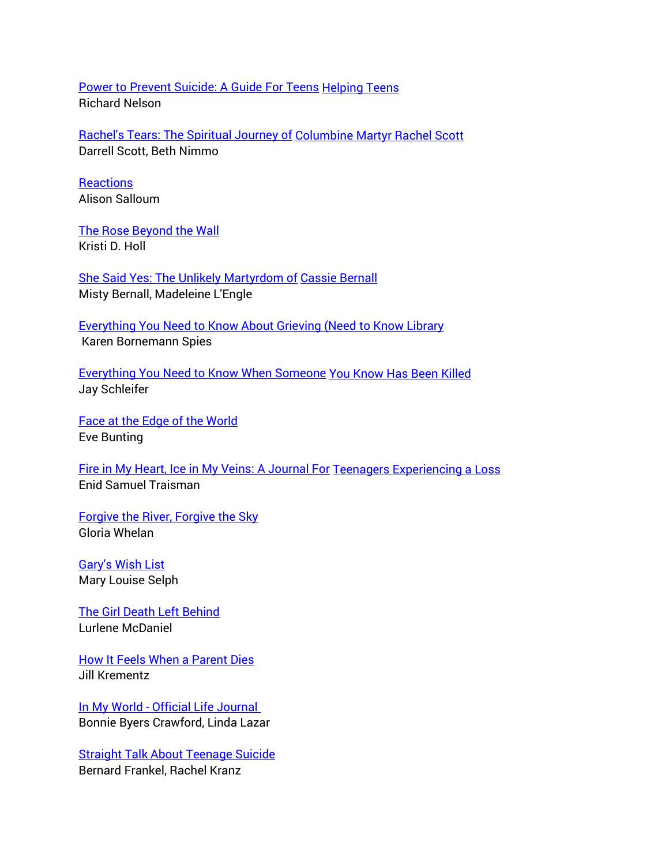[Power to Prevent Suicide:](http://www.amazon.com/exec/obidos/tg/detail/-/0915793709/ref%3Dlpr_g_2/002-9144922-3611235?v=glance&s=books) A Guide For Teens [Helping Teens](http://www.amazon.com/exec/obidos/tg/detail/-/0915793709/ref%3Dlpr_g_2/002-9144922-3611235?v=glance&s=books) Richard Nelson

Rachel's [Tears: The Spiritual Journey of](http://www.amazon.com/exec/obidos/tg/detail/-/0785268480/ref%3Dase_griefnet/002-9144922-3611235?v=glance&s=books) [Columbine Martyr Rachel](http://www.amazon.com/exec/obidos/tg/detail/-/0785268480/ref%3Dase_griefnet/002-9144922-3611235?v=glance&s=books) Scott Darrell Scott, Beth Nimmo

**[Reactions](http://www.amazon.com/exec/obidos/ASIN/1561231088/griefnet/002-9144922-3611235)** Alison Salloum

The [Rose Beyond the](http://www.amazon.com/exec/obidos/ASIN/088092425X/griefnet/002-9144922-3611235) Wall Kristi D. Holl

[She Said Yes:](http://www.amazon.com/exec/obidos/tg/detail/-/0743400526/ref%3Dase_griefnet/002-9144922-3611235?v=glance&s=books) The Unlikely Martyrdom of [Cassie Bernall](http://www.amazon.com/exec/obidos/tg/detail/-/0743400526/ref%3Dase_griefnet/002-9144922-3611235?v=glance&s=books) Misty Bernall, Madeleine L'Engle

[Everything You Need to Know About Grieving](http://www.amazon.com/exec/obidos/ASIN/0823926230/griefnet/002-9144922-3611235) [\(Need to Know Library](http://www.amazon.com/exec/obidos/ASIN/0823926230/griefnet/002-9144922-3611235) [K](http://www.amazon.com/exec/obidos/ASIN/0823926230/griefnet/002-9144922-3611235)aren Bornemann Spies

[Everything You Need to Know When Someone](http://www.amazon.com/exec/obidos/ASIN/0823927792/griefnet/002-9144922-3611235) You Know [Has Been Killed](http://www.amazon.com/exec/obidos/ASIN/0823927792/griefnet/002-9144922-3611235) Jay Schleifer

Face at the [Edge of the](http://www.amazon.com/exec/obidos/tg/detail/-/0833525441/ref%3Dase_griefnet/002-9144922-3611235?v=glance&s=books) World Eve Bunting

[Fire in My Heart, Ice in](http://www.amazon.com/exec/obidos/tg/detail/-/1561230561/ref%3Dase_griefnet/002-9144922-3611235?v=glance&s=books) My Veins: A Journal For [Teenagers Experiencing a](http://www.amazon.com/exec/obidos/tg/detail/-/1561230561/ref%3Dase_griefnet/002-9144922-3611235?v=glance&s=books) Loss Enid Samuel Traisman

Forgive the [River, Forgive the Sky](http://www.amazon.com/exec/obidos/ASIN/080285155X/griefnet/002-9144922-3611235) Gloria Whelan

[Gary's Wish List](http://www.amazon.com/exec/obidos/ASIN/1889137111/griefnet/002-9144922-3611235) Mary Louise Selph

[The Girl Death Left Behind](http://www.amazon.com/exec/obidos/tg/detail/-/0553570919/ref%3Dase_griefnet/002-9144922-3611235?v=glance&s=books) Lurlene McDaniel

How It Feels When [a Parent Dies](http://www.amazon.com/exec/obidos/tg/detail/-/0394758544/ref%3Dase_griefnet/002-9144922-3611235?v=glance&s=books) Jill Krementz

In My World - [Official Life Journal](http://www.amazon.com/exec/obidos/ASIN/1561231274/griefnet/002-9144922-3611235) Bonnie Byers Crawford, Linda Lazar

Straight Talk [About Teenage Suicide](http://www.amazon.com/exec/obidos/ASIN/0816029873/griefnet/002-9144922-3611235) Bernard Frankel, Rachel Kranz